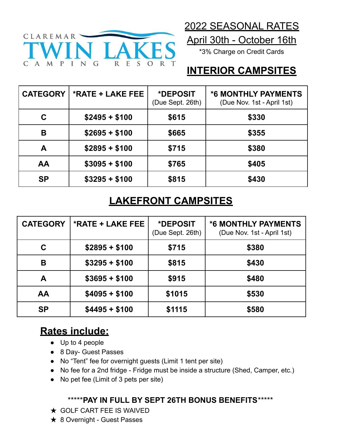

### 2022 SEASONAL RATES

April 30th - October 16th

\*3% Charge on Credit Cards

# **INTERIOR CAMPSITES**

| <b>CATEGORY</b> | *RATE + LAKE FEE | *DEPOSIT<br>(Due Sept. 26th) | <b>*6 MONTHLY PAYMENTS</b><br>(Due Nov. 1st - April 1st) |
|-----------------|------------------|------------------------------|----------------------------------------------------------|
| C               | $$2495 + $100$   | \$615                        | \$330                                                    |
| B               | $$2695 + $100$   | \$665                        | \$355                                                    |
| A               | $$2895 + $100$   | \$715                        | \$380                                                    |
| AA              | $$3095 + $100$   | \$765                        | \$405                                                    |
| <b>SP</b>       | $$3295 + $100$   | \$815                        | \$430                                                    |

# **LAKEFRONT CAMPSITES**

| <b>CATEGORY</b> | <b>*RATE + LAKE FEE</b> | *DEPOSIT<br>(Due Sept. 26th) | <b>*6 MONTHLY PAYMENTS</b><br>(Due Nov. 1st - April 1st) |
|-----------------|-------------------------|------------------------------|----------------------------------------------------------|
| C               | $$2895 + $100$          | \$715                        | \$380                                                    |
| В               | $$3295 + $100$          | \$815                        | \$430                                                    |
| A               | $$3695 + $100$          | \$915                        | \$480                                                    |
| AA              | $$4095 + $100$          | \$1015                       | \$530                                                    |
| <b>SP</b>       | $$4495 + $100$          | \$1115                       | \$580                                                    |

## **Rates include:**

- Up to 4 people
- 8 Day- Guest Passes
- No "Tent" fee for overnight guests (Limit 1 tent per site)
- No fee for a 2nd fridge Fridge must be inside a structure (Shed, Camper, etc.)
- No pet fee (Limit of 3 pets per site)

#### \*\*\*\*\***PAY IN FULL BY SEPT 26TH BONUS BENEFITS**\*\*\*\*\*

- ★ GOLF CART FEE IS WAIVED
- ★ 8 Overnight Guest Passes